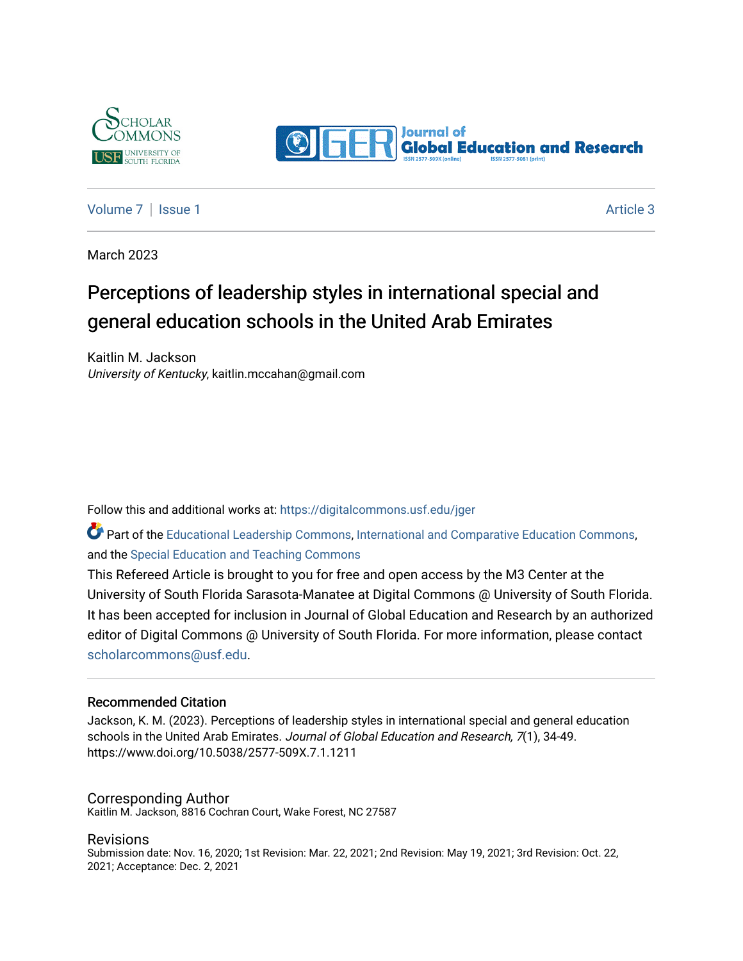



#### [Volume 7](https://digitalcommons.usf.edu/jger/vol7) | [Issue 1](https://digitalcommons.usf.edu/jger/vol7/iss1) Article 3

March 2023

# Perceptions of leadership styles in international special and general education schools in the United Arab Emirates

Kaitlin M. Jackson University of Kentucky, kaitlin.mccahan@gmail.com

Follow this and additional works at: [https://digitalcommons.usf.edu/jger](https://digitalcommons.usf.edu/jger?utm_source=digitalcommons.usf.edu%2Fjger%2Fvol7%2Fiss1%2F3&utm_medium=PDF&utm_campaign=PDFCoverPages) 

Part of the [Educational Leadership Commons,](http://network.bepress.com/hgg/discipline/1230?utm_source=digitalcommons.usf.edu%2Fjger%2Fvol7%2Fiss1%2F3&utm_medium=PDF&utm_campaign=PDFCoverPages) [International and Comparative Education Commons](http://network.bepress.com/hgg/discipline/797?utm_source=digitalcommons.usf.edu%2Fjger%2Fvol7%2Fiss1%2F3&utm_medium=PDF&utm_campaign=PDFCoverPages), and the [Special Education and Teaching Commons](http://network.bepress.com/hgg/discipline/801?utm_source=digitalcommons.usf.edu%2Fjger%2Fvol7%2Fiss1%2F3&utm_medium=PDF&utm_campaign=PDFCoverPages)

This Refereed Article is brought to you for free and open access by the M3 Center at the University of South Florida Sarasota-Manatee at Digital Commons @ University of South Florida. It has been accepted for inclusion in Journal of Global Education and Research by an authorized editor of Digital Commons @ University of South Florida. For more information, please contact [scholarcommons@usf.edu.](mailto:scholarcommons@usf.edu)

#### Recommended Citation

Jackson, K. M. (2023). Perceptions of leadership styles in international special and general education schools in the United Arab Emirates. Journal of Global Education and Research, 7(1), 34-49. https://www.doi.org/10.5038/2577-509X.7.1.1211

#### Corresponding Author

Kaitlin M. Jackson, 8816 Cochran Court, Wake Forest, NC 27587

#### Revisions

Submission date: Nov. 16, 2020; 1st Revision: Mar. 22, 2021; 2nd Revision: May 19, 2021; 3rd Revision: Oct. 22, 2021; Acceptance: Dec. 2, 2021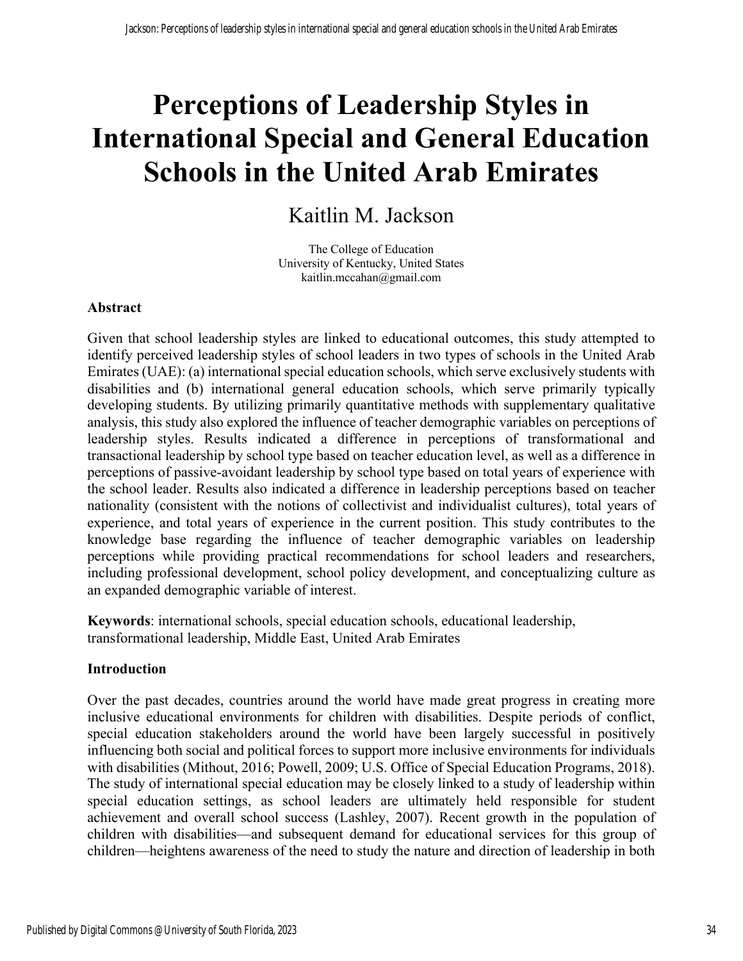# **Perceptions of Leadership Styles in International Special and General Education Schools in the United Arab Emirates**

# Kaitlin M. Jackson

The College of Education University of Kentucky, United States kaitlin.mccahan@gmail.com

#### **Abstract**

Given that school leadership styles are linked to educational outcomes, this study attempted to identify perceived leadership styles of school leaders in two types of schools in the United Arab Emirates (UAE): (a) international special education schools, which serve exclusively students with disabilities and (b) international general education schools, which serve primarily typically developing students. By utilizing primarily quantitative methods with supplementary qualitative analysis, this study also explored the influence of teacher demographic variables on perceptions of leadership styles. Results indicated a difference in perceptions of transformational and transactional leadership by school type based on teacher education level, as well as a difference in perceptions of passive-avoidant leadership by school type based on total years of experience with the school leader. Results also indicated a difference in leadership perceptions based on teacher nationality (consistent with the notions of collectivist and individualist cultures), total years of experience, and total years of experience in the current position. This study contributes to the knowledge base regarding the influence of teacher demographic variables on leadership perceptions while providing practical recommendations for school leaders and researchers, including professional development, school policy development, and conceptualizing culture as an expanded demographic variable of interest.

**Keywords**: international schools, special education schools, educational leadership, transformational leadership, Middle East, United Arab Emirates

#### **Introduction**

Over the past decades, countries around the world have made great progress in creating more inclusive educational environments for children with disabilities. Despite periods of conflict, special education stakeholders around the world have been largely successful in positively influencing both social and political forces to support more inclusive environments for individuals with disabilities (Mithout, 2016; Powell, 2009; U.S. Office of Special Education Programs, 2018). The study of international special education may be closely linked to a study of leadership within special education settings, as school leaders are ultimately held responsible for student achievement and overall school success (Lashley, 2007). Recent growth in the population of children with disabilities—and subsequent demand for educational services for this group of children—heightens awareness of the need to study the nature and direction of leadership in both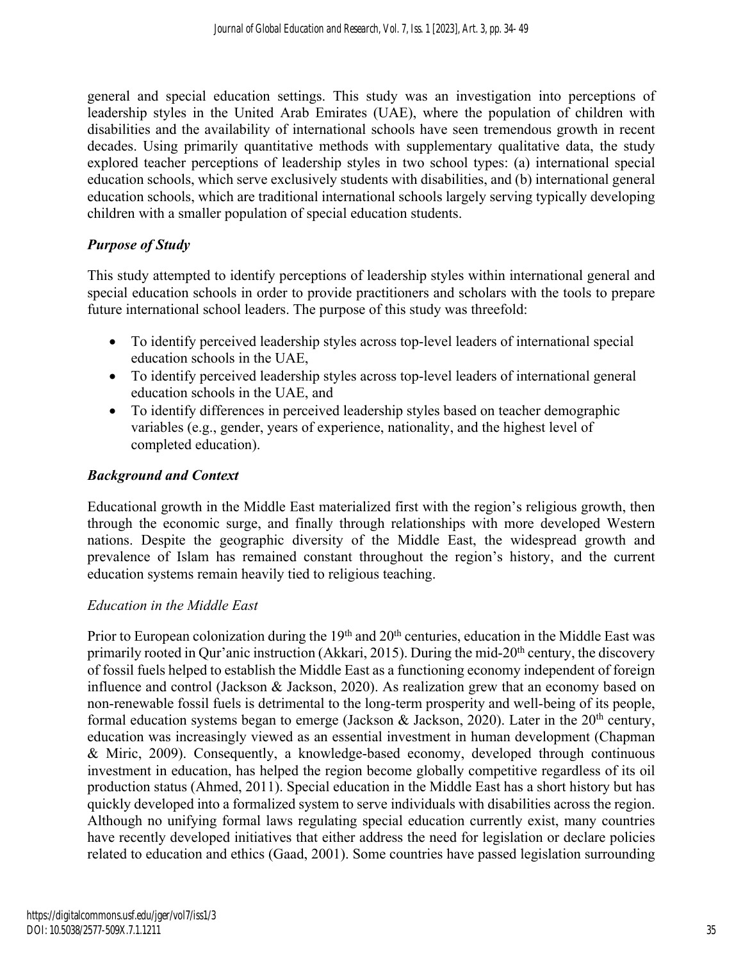general and special education settings. This study was an investigation into perceptions of leadership styles in the United Arab Emirates (UAE), where the population of children with disabilities and the availability of international schools have seen tremendous growth in recent decades. Using primarily quantitative methods with supplementary qualitative data, the study explored teacher perceptions of leadership styles in two school types: (a) international special education schools, which serve exclusively students with disabilities, and (b) international general education schools, which are traditional international schools largely serving typically developing children with a smaller population of special education students.

# *Purpose of Study*

This study attempted to identify perceptions of leadership styles within international general and special education schools in order to provide practitioners and scholars with the tools to prepare future international school leaders. The purpose of this study was threefold:

- To identify perceived leadership styles across top-level leaders of international special education schools in the UAE,
- To identify perceived leadership styles across top-level leaders of international general education schools in the UAE, and
- To identify differences in perceived leadership styles based on teacher demographic variables (e.g., gender, years of experience, nationality, and the highest level of completed education).

# *Background and Context*

Educational growth in the Middle East materialized first with the region's religious growth, then through the economic surge, and finally through relationships with more developed Western nations. Despite the geographic diversity of the Middle East, the widespread growth and prevalence of Islam has remained constant throughout the region's history, and the current education systems remain heavily tied to religious teaching.

# *Education in the Middle East*

Prior to European colonization during the 19<sup>th</sup> and 20<sup>th</sup> centuries, education in the Middle East was primarily rooted in Qur'anic instruction (Akkari, 2015). During the mid-20<sup>th</sup> century, the discovery of fossil fuels helped to establish the Middle East as a functioning economy independent of foreign influence and control (Jackson & Jackson, 2020). As realization grew that an economy based on non-renewable fossil fuels is detrimental to the long-term prosperity and well-being of its people, formal education systems began to emerge (Jackson & Jackson, 2020). Later in the  $20<sup>th</sup>$  century, education was increasingly viewed as an essential investment in human development (Chapman & Miric, 2009). Consequently, a knowledge-based economy, developed through continuous investment in education, has helped the region become globally competitive regardless of its oil production status (Ahmed, 2011). Special education in the Middle East has a short history but has quickly developed into a formalized system to serve individuals with disabilities across the region. Although no unifying formal laws regulating special education currently exist, many countries have recently developed initiatives that either address the need for legislation or declare policies related to education and ethics (Gaad, 2001). Some countries have passed legislation surrounding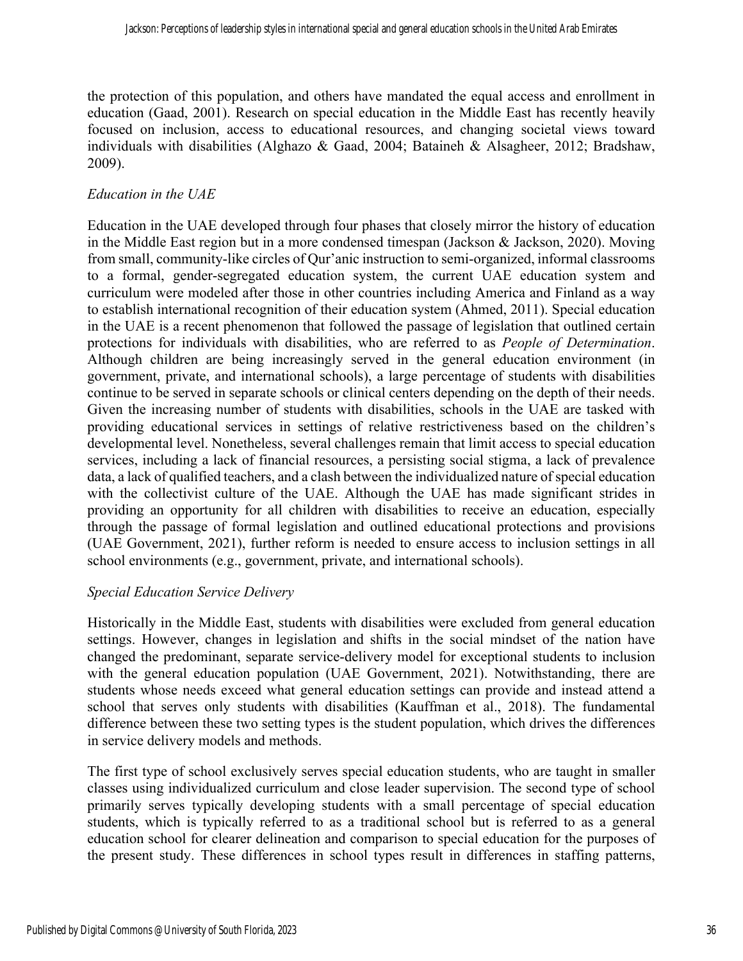the protection of this population, and others have mandated the equal access and enrollment in education (Gaad, 2001). Research on special education in the Middle East has recently heavily focused on inclusion, access to educational resources, and changing societal views toward individuals with disabilities (Alghazo & Gaad, 2004; Bataineh & Alsagheer, 2012; Bradshaw, 2009).

# *Education in the UAE*

Education in the UAE developed through four phases that closely mirror the history of education in the Middle East region but in a more condensed timespan (Jackson & Jackson, 2020). Moving from small, community-like circles of Qur'anic instruction to semi-organized, informal classrooms to a formal, gender-segregated education system, the current UAE education system and curriculum were modeled after those in other countries including America and Finland as a way to establish international recognition of their education system (Ahmed, 2011). Special education in the UAE is a recent phenomenon that followed the passage of legislation that outlined certain protections for individuals with disabilities, who are referred to as *People of Determination*. Although children are being increasingly served in the general education environment (in government, private, and international schools), a large percentage of students with disabilities continue to be served in separate schools or clinical centers depending on the depth of their needs. Given the increasing number of students with disabilities, schools in the UAE are tasked with providing educational services in settings of relative restrictiveness based on the children's developmental level. Nonetheless, several challenges remain that limit access to special education services, including a lack of financial resources, a persisting social stigma, a lack of prevalence data, a lack of qualified teachers, and a clash between the individualized nature of special education with the collectivist culture of the UAE. Although the UAE has made significant strides in providing an opportunity for all children with disabilities to receive an education, especially through the passage of formal legislation and outlined educational protections and provisions (UAE Government, 2021), further reform is needed to ensure access to inclusion settings in all school environments (e.g., government, private, and international schools).

## *Special Education Service Delivery*

Historically in the Middle East, students with disabilities were excluded from general education settings. However, changes in legislation and shifts in the social mindset of the nation have changed the predominant, separate service-delivery model for exceptional students to inclusion with the general education population (UAE Government, 2021). Notwithstanding, there are students whose needs exceed what general education settings can provide and instead attend a school that serves only students with disabilities (Kauffman et al., 2018). The fundamental difference between these two setting types is the student population, which drives the differences in service delivery models and methods.

The first type of school exclusively serves special education students, who are taught in smaller classes using individualized curriculum and close leader supervision. The second type of school primarily serves typically developing students with a small percentage of special education students, which is typically referred to as a traditional school but is referred to as a general education school for clearer delineation and comparison to special education for the purposes of the present study. These differences in school types result in differences in staffing patterns,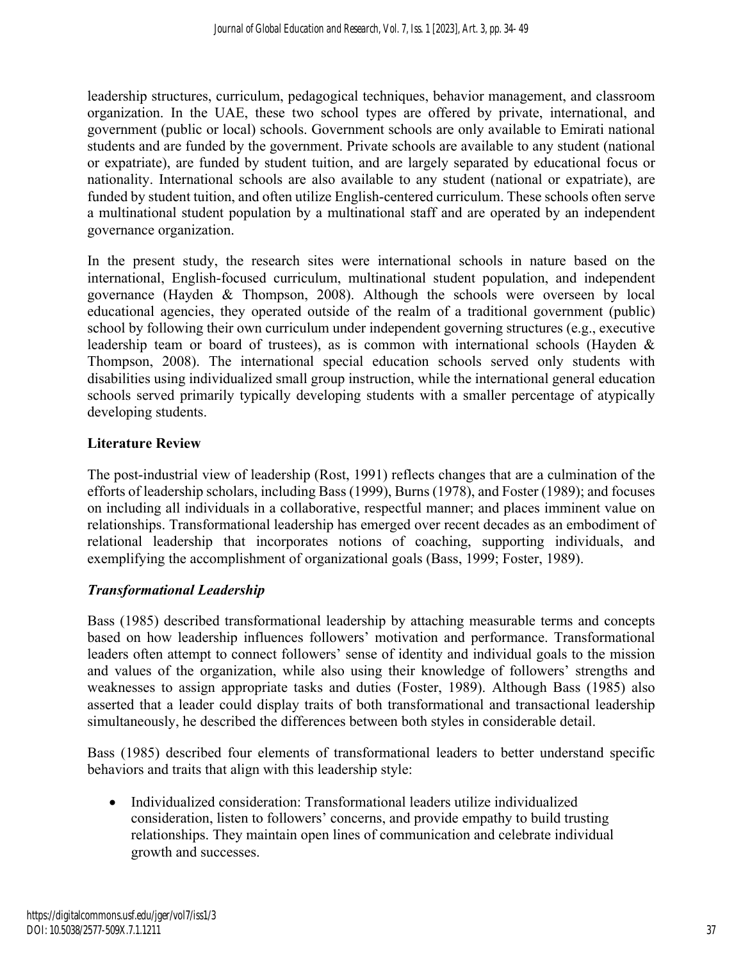leadership structures, curriculum, pedagogical techniques, behavior management, and classroom organization. In the UAE, these two school types are offered by private, international, and government (public or local) schools. Government schools are only available to Emirati national students and are funded by the government. Private schools are available to any student (national or expatriate), are funded by student tuition, and are largely separated by educational focus or nationality. International schools are also available to any student (national or expatriate), are funded by student tuition, and often utilize English-centered curriculum. These schools often serve a multinational student population by a multinational staff and are operated by an independent governance organization.

In the present study, the research sites were international schools in nature based on the international, English-focused curriculum, multinational student population, and independent governance (Hayden & Thompson, 2008). Although the schools were overseen by local educational agencies, they operated outside of the realm of a traditional government (public) school by following their own curriculum under independent governing structures (e.g., executive leadership team or board of trustees), as is common with international schools (Hayden & Thompson, 2008). The international special education schools served only students with disabilities using individualized small group instruction, while the international general education schools served primarily typically developing students with a smaller percentage of atypically developing students.

## **Literature Review**

The post-industrial view of leadership (Rost, 1991) reflects changes that are a culmination of the efforts of leadership scholars, including Bass (1999), Burns (1978), and Foster (1989); and focuses on including all individuals in a collaborative, respectful manner; and places imminent value on relationships. Transformational leadership has emerged over recent decades as an embodiment of relational leadership that incorporates notions of coaching, supporting individuals, and exemplifying the accomplishment of organizational goals (Bass, 1999; Foster, 1989).

## *Transformational Leadership*

Bass (1985) described transformational leadership by attaching measurable terms and concepts based on how leadership influences followers' motivation and performance. Transformational leaders often attempt to connect followers' sense of identity and individual goals to the mission and values of the organization, while also using their knowledge of followers' strengths and weaknesses to assign appropriate tasks and duties (Foster, 1989). Although Bass (1985) also asserted that a leader could display traits of both transformational and transactional leadership simultaneously, he described the differences between both styles in considerable detail.

Bass (1985) described four elements of transformational leaders to better understand specific behaviors and traits that align with this leadership style:

• Individualized consideration: Transformational leaders utilize individualized consideration, listen to followers' concerns, and provide empathy to build trusting relationships. They maintain open lines of communication and celebrate individual growth and successes.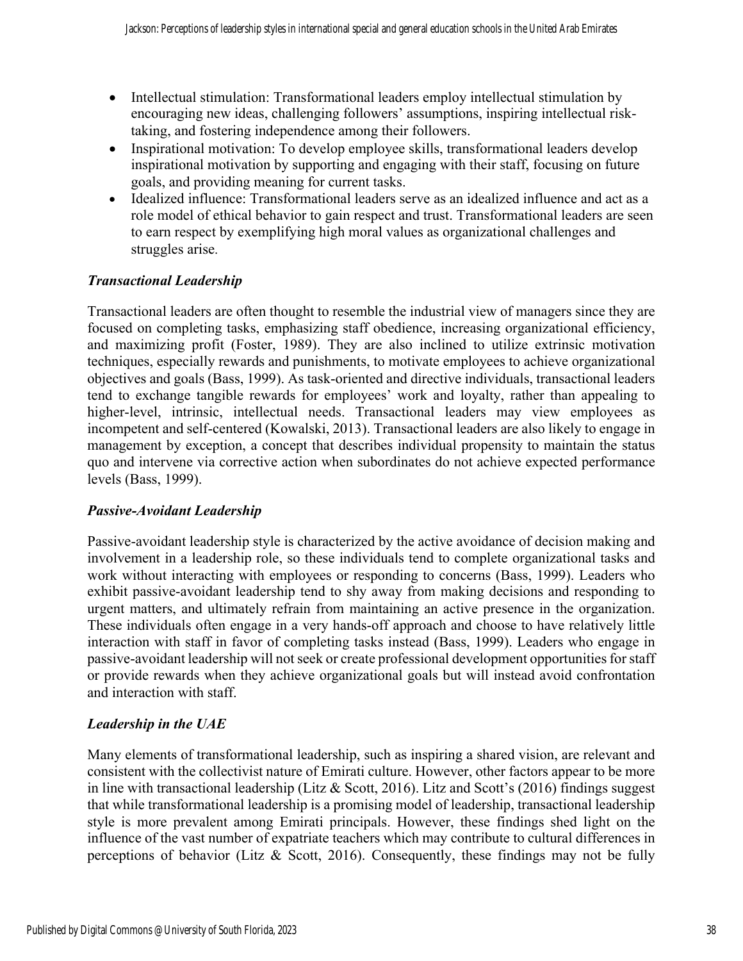- Intellectual stimulation: Transformational leaders employ intellectual stimulation by encouraging new ideas, challenging followers' assumptions, inspiring intellectual risktaking, and fostering independence among their followers.
- Inspirational motivation: To develop employee skills, transformational leaders develop inspirational motivation by supporting and engaging with their staff, focusing on future goals, and providing meaning for current tasks.
- Idealized influence: Transformational leaders serve as an idealized influence and act as a role model of ethical behavior to gain respect and trust. Transformational leaders are seen to earn respect by exemplifying high moral values as organizational challenges and struggles arise.

# *Transactional Leadership*

Transactional leaders are often thought to resemble the industrial view of managers since they are focused on completing tasks, emphasizing staff obedience, increasing organizational efficiency, and maximizing profit (Foster, 1989). They are also inclined to utilize extrinsic motivation techniques, especially rewards and punishments, to motivate employees to achieve organizational objectives and goals (Bass, 1999). As task-oriented and directive individuals, transactional leaders tend to exchange tangible rewards for employees' work and loyalty, rather than appealing to higher-level, intrinsic, intellectual needs. Transactional leaders may view employees as incompetent and self-centered (Kowalski, 2013). Transactional leaders are also likely to engage in management by exception, a concept that describes individual propensity to maintain the status quo and intervene via corrective action when subordinates do not achieve expected performance levels (Bass, 1999).

## *Passive-Avoidant Leadership*

Passive-avoidant leadership style is characterized by the active avoidance of decision making and involvement in a leadership role, so these individuals tend to complete organizational tasks and work without interacting with employees or responding to concerns (Bass, 1999). Leaders who exhibit passive-avoidant leadership tend to shy away from making decisions and responding to urgent matters, and ultimately refrain from maintaining an active presence in the organization. These individuals often engage in a very hands-off approach and choose to have relatively little interaction with staff in favor of completing tasks instead (Bass, 1999). Leaders who engage in passive-avoidant leadership will not seek or create professional development opportunities for staff or provide rewards when they achieve organizational goals but will instead avoid confrontation and interaction with staff.

# *Leadership in the UAE*

Many elements of transformational leadership, such as inspiring a shared vision, are relevant and consistent with the collectivist nature of Emirati culture. However, other factors appear to be more in line with transactional leadership (Litz & Scott, 2016). Litz and Scott's (2016) findings suggest that while transformational leadership is a promising model of leadership, transactional leadership style is more prevalent among Emirati principals. However, these findings shed light on the influence of the vast number of expatriate teachers which may contribute to cultural differences in perceptions of behavior (Litz & Scott, 2016). Consequently, these findings may not be fully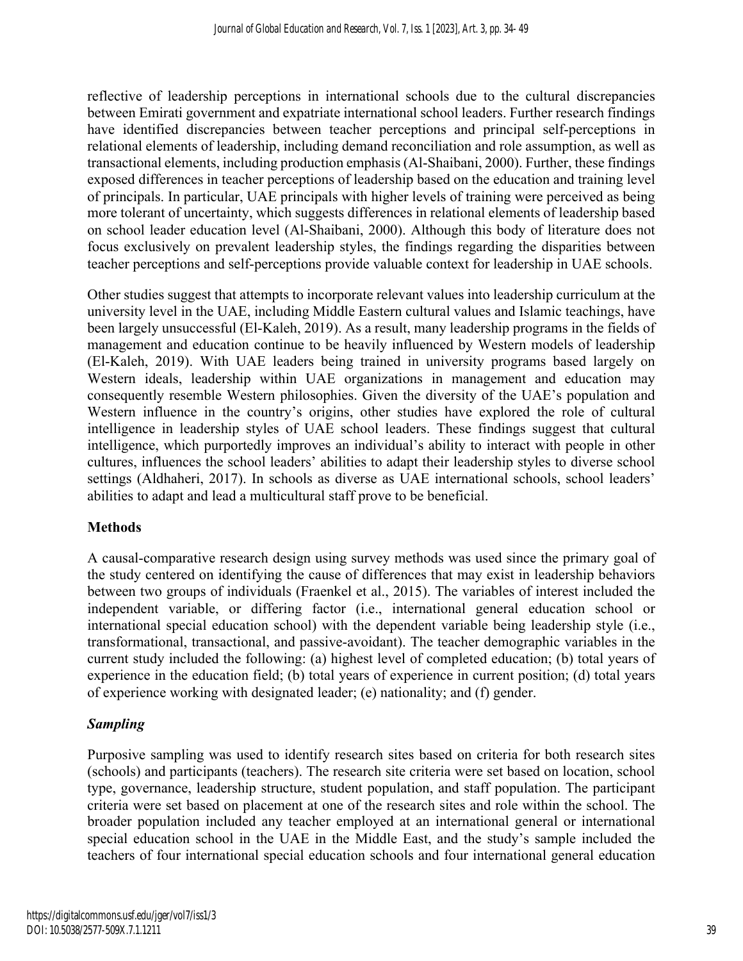reflective of leadership perceptions in international schools due to the cultural discrepancies between Emirati government and expatriate international school leaders. Further research findings have identified discrepancies between teacher perceptions and principal self-perceptions in relational elements of leadership, including demand reconciliation and role assumption, as well as transactional elements, including production emphasis (Al-Shaibani, 2000). Further, these findings exposed differences in teacher perceptions of leadership based on the education and training level of principals. In particular, UAE principals with higher levels of training were perceived as being more tolerant of uncertainty, which suggests differences in relational elements of leadership based on school leader education level (Al-Shaibani, 2000). Although this body of literature does not focus exclusively on prevalent leadership styles, the findings regarding the disparities between teacher perceptions and self-perceptions provide valuable context for leadership in UAE schools.

Other studies suggest that attempts to incorporate relevant values into leadership curriculum at the university level in the UAE, including Middle Eastern cultural values and Islamic teachings, have been largely unsuccessful (El-Kaleh, 2019). As a result, many leadership programs in the fields of management and education continue to be heavily influenced by Western models of leadership (El-Kaleh, 2019). With UAE leaders being trained in university programs based largely on Western ideals, leadership within UAE organizations in management and education may consequently resemble Western philosophies. Given the diversity of the UAE's population and Western influence in the country's origins, other studies have explored the role of cultural intelligence in leadership styles of UAE school leaders. These findings suggest that cultural intelligence, which purportedly improves an individual's ability to interact with people in other cultures, influences the school leaders' abilities to adapt their leadership styles to diverse school settings (Aldhaheri, 2017). In schools as diverse as UAE international schools, school leaders' abilities to adapt and lead a multicultural staff prove to be beneficial.

## **Methods**

A causal-comparative research design using survey methods was used since the primary goal of the study centered on identifying the cause of differences that may exist in leadership behaviors between two groups of individuals (Fraenkel et al., 2015). The variables of interest included the independent variable, or differing factor (i.e., international general education school or international special education school) with the dependent variable being leadership style (i.e., transformational, transactional, and passive-avoidant). The teacher demographic variables in the current study included the following: (a) highest level of completed education; (b) total years of experience in the education field; (b) total years of experience in current position; (d) total years of experience working with designated leader; (e) nationality; and (f) gender.

## *Sampling*

Purposive sampling was used to identify research sites based on criteria for both research sites (schools) and participants (teachers). The research site criteria were set based on location, school type, governance, leadership structure, student population, and staff population. The participant criteria were set based on placement at one of the research sites and role within the school. The broader population included any teacher employed at an international general or international special education school in the UAE in the Middle East, and the study's sample included the teachers of four international special education schools and four international general education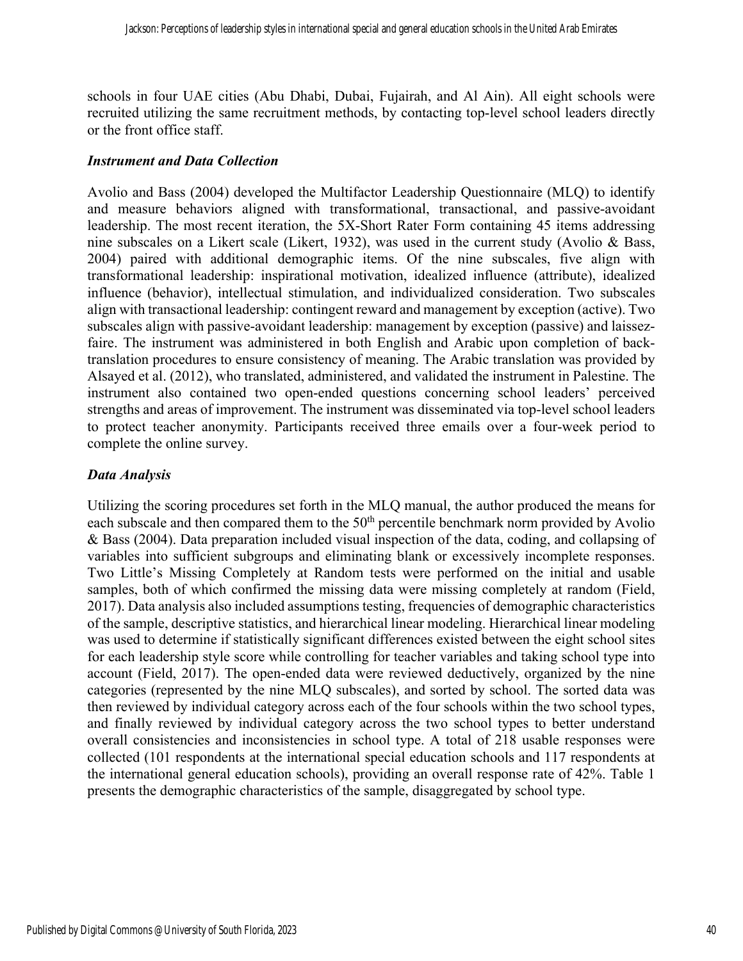schools in four UAE cities (Abu Dhabi, Dubai, Fujairah, and Al Ain). All eight schools were recruited utilizing the same recruitment methods, by contacting top-level school leaders directly or the front office staff.

#### *Instrument and Data Collection*

Avolio and Bass (2004) developed the Multifactor Leadership Questionnaire (MLQ) to identify and measure behaviors aligned with transformational, transactional, and passive-avoidant leadership. The most recent iteration, the 5X-Short Rater Form containing 45 items addressing nine subscales on a Likert scale (Likert, 1932), was used in the current study (Avolio & Bass, 2004) paired with additional demographic items. Of the nine subscales, five align with transformational leadership: inspirational motivation, idealized influence (attribute), idealized influence (behavior), intellectual stimulation, and individualized consideration. Two subscales align with transactional leadership: contingent reward and management by exception (active). Two subscales align with passive-avoidant leadership: management by exception (passive) and laissezfaire. The instrument was administered in both English and Arabic upon completion of backtranslation procedures to ensure consistency of meaning. The Arabic translation was provided by Alsayed et al. (2012), who translated, administered, and validated the instrument in Palestine. The instrument also contained two open-ended questions concerning school leaders' perceived strengths and areas of improvement. The instrument was disseminated via top-level school leaders to protect teacher anonymity. Participants received three emails over a four-week period to complete the online survey.

#### *Data Analysis*

Utilizing the scoring procedures set forth in the MLQ manual, the author produced the means for each subscale and then compared them to the 50<sup>th</sup> percentile benchmark norm provided by Avolio & Bass (2004). Data preparation included visual inspection of the data, coding, and collapsing of variables into sufficient subgroups and eliminating blank or excessively incomplete responses. Two Little's Missing Completely at Random tests were performed on the initial and usable samples, both of which confirmed the missing data were missing completely at random (Field, 2017). Data analysis also included assumptions testing, frequencies of demographic characteristics of the sample, descriptive statistics, and hierarchical linear modeling. Hierarchical linear modeling was used to determine if statistically significant differences existed between the eight school sites for each leadership style score while controlling for teacher variables and taking school type into account (Field, 2017). The open-ended data were reviewed deductively, organized by the nine categories (represented by the nine MLQ subscales), and sorted by school. The sorted data was then reviewed by individual category across each of the four schools within the two school types, and finally reviewed by individual category across the two school types to better understand overall consistencies and inconsistencies in school type. A total of 218 usable responses were collected (101 respondents at the international special education schools and 117 respondents at the international general education schools), providing an overall response rate of 42%. Table 1 presents the demographic characteristics of the sample, disaggregated by school type.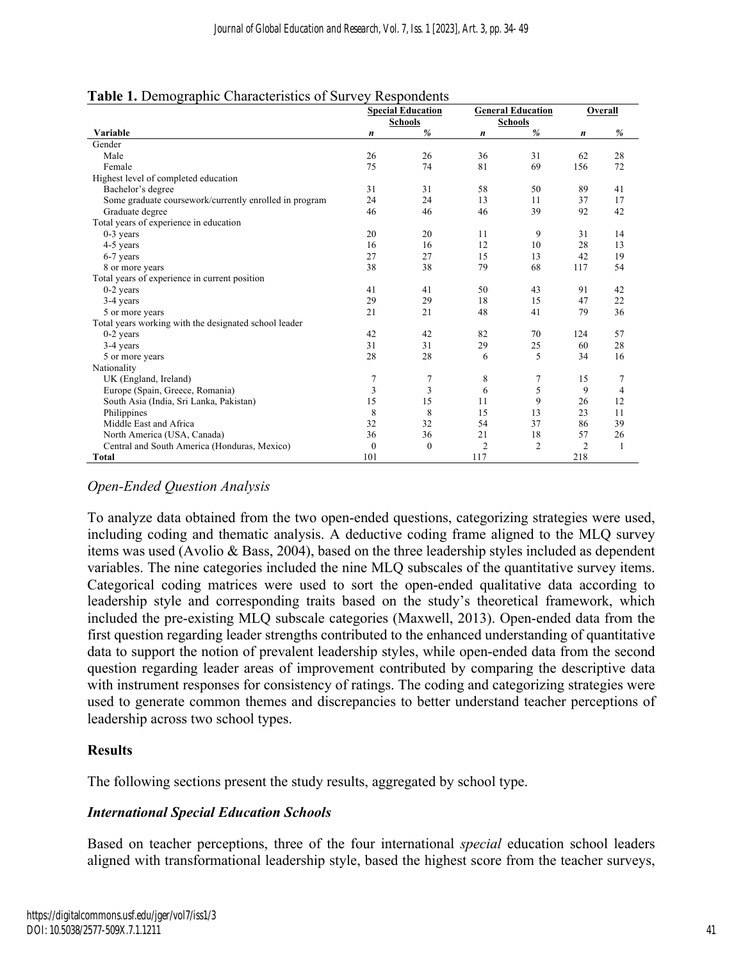|                                                        | <b>Special Education</b><br><b>General Education</b><br><b>Schools</b><br><b>Schools</b> |                |                  |                | Overall        |                |
|--------------------------------------------------------|------------------------------------------------------------------------------------------|----------------|------------------|----------------|----------------|----------------|
|                                                        |                                                                                          |                |                  |                |                |                |
| Variable                                               | n                                                                                        | %              | $\boldsymbol{n}$ | %              | n              | %              |
| Gender                                                 |                                                                                          |                |                  |                |                |                |
| Male                                                   | 26                                                                                       | 26             | 36               | 31             | 62             | 28             |
| Female                                                 | 75                                                                                       | 74             | 81               | 69             | 156            | 72             |
| Highest level of completed education                   |                                                                                          |                |                  |                |                |                |
| Bachelor's degree                                      | 31                                                                                       | 31             | 58               | 50             | 89             | 41             |
| Some graduate coursework/currently enrolled in program | 24                                                                                       | 24             | 13               | 11             | 37             | 17             |
| Graduate degree                                        | 46                                                                                       | 46             | 46               | 39             | 92             | 42             |
| Total years of experience in education                 |                                                                                          |                |                  |                |                |                |
| $0-3$ years                                            | 20                                                                                       | 20             | 11               | 9              | 31             | 14             |
| 4-5 years                                              | 16                                                                                       | 16             | 12               | 10             | 28             | 13             |
| 6-7 years                                              | 27                                                                                       | 27             | 15               | 13             | 42             | 19             |
| 8 or more years                                        | 38                                                                                       | 38             | 79               | 68             | 117            | 54             |
| Total years of experience in current position          |                                                                                          |                |                  |                |                |                |
| $0-2$ years                                            | 41                                                                                       | 41             | 50               | 43             | 91             | 42             |
| 3-4 years                                              | 29                                                                                       | 29             | 18               | 15             | 47             | 22             |
| 5 or more years                                        | 21                                                                                       | 21             | 48               | 41             | 79             | 36             |
| Total years working with the designated school leader  |                                                                                          |                |                  |                |                |                |
| $0-2$ years                                            | 42                                                                                       | 42             | 82               | 70             | 124            | 57             |
| 3-4 years                                              | 31                                                                                       | 31             | 29               | 25             | 60             | 28             |
| 5 or more years                                        | 28                                                                                       | 28             | 6                | 5              | 34             | 16             |
| Nationality                                            |                                                                                          |                |                  |                |                |                |
| UK (England, Ireland)                                  | 7                                                                                        | 7              | 8                | 7              | 15             | 7              |
| Europe (Spain, Greece, Romania)                        | 3                                                                                        | $\overline{3}$ | 6                | 5              | 9              | $\overline{4}$ |
| South Asia (India, Sri Lanka, Pakistan)                | 15                                                                                       | 15             | 11               | 9              | 26             | 12             |
| Philippines                                            | 8                                                                                        | 8              | 15               | 13             | 23             | 11             |
| Middle East and Africa                                 | 32                                                                                       | 32             | 54               | 37             | 86             | 39             |
| North America (USA, Canada)                            | 36                                                                                       | 36             | 21               | 18             | 57             | 26             |
| Central and South America (Honduras, Mexico)           | $\theta$                                                                                 | $\mathbf{0}$   | $\overline{2}$   | $\overline{2}$ | $\overline{2}$ | 1              |
| Total                                                  | 101                                                                                      |                | 117              |                | 218            |                |

#### **Table 1.** Demographic Characteristics of Survey Respondents

## *Open-Ended Question Analysis*

To analyze data obtained from the two open-ended questions, categorizing strategies were used, including coding and thematic analysis. A deductive coding frame aligned to the MLQ survey items was used (Avolio & Bass, 2004), based on the three leadership styles included as dependent variables. The nine categories included the nine MLQ subscales of the quantitative survey items. Categorical coding matrices were used to sort the open-ended qualitative data according to leadership style and corresponding traits based on the study's theoretical framework, which included the pre-existing MLQ subscale categories (Maxwell, 2013). Open-ended data from the first question regarding leader strengths contributed to the enhanced understanding of quantitative data to support the notion of prevalent leadership styles, while open-ended data from the second question regarding leader areas of improvement contributed by comparing the descriptive data with instrument responses for consistency of ratings. The coding and categorizing strategies were used to generate common themes and discrepancies to better understand teacher perceptions of leadership across two school types.

## **Results**

The following sections present the study results, aggregated by school type.

## *International Special Education Schools*

Based on teacher perceptions, three of the four international *special* education school leaders aligned with transformational leadership style, based the highest score from the teacher surveys,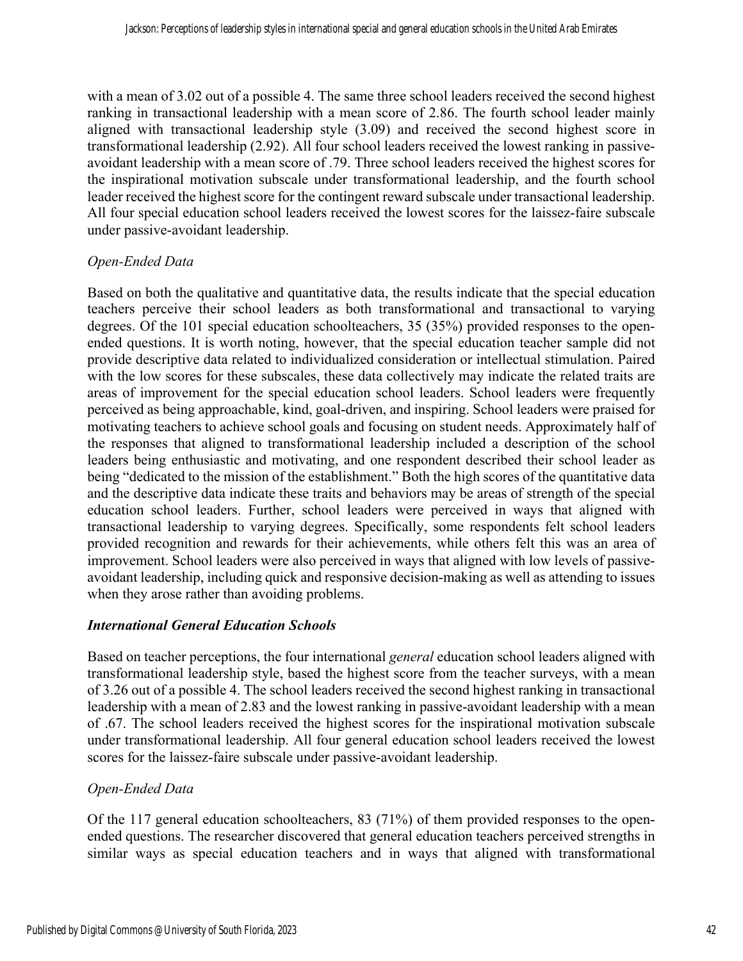with a mean of 3.02 out of a possible 4. The same three school leaders received the second highest ranking in transactional leadership with a mean score of 2.86. The fourth school leader mainly aligned with transactional leadership style (3.09) and received the second highest score in transformational leadership (2.92). All four school leaders received the lowest ranking in passiveavoidant leadership with a mean score of .79. Three school leaders received the highest scores for the inspirational motivation subscale under transformational leadership, and the fourth school leader received the highest score for the contingent reward subscale under transactional leadership. All four special education school leaders received the lowest scores for the laissez-faire subscale under passive-avoidant leadership.

#### *Open-Ended Data*

Based on both the qualitative and quantitative data, the results indicate that the special education teachers perceive their school leaders as both transformational and transactional to varying degrees. Of the 101 special education schoolteachers, 35 (35%) provided responses to the openended questions. It is worth noting, however, that the special education teacher sample did not provide descriptive data related to individualized consideration or intellectual stimulation. Paired with the low scores for these subscales, these data collectively may indicate the related traits are areas of improvement for the special education school leaders. School leaders were frequently perceived as being approachable, kind, goal-driven, and inspiring. School leaders were praised for motivating teachers to achieve school goals and focusing on student needs. Approximately half of the responses that aligned to transformational leadership included a description of the school leaders being enthusiastic and motivating, and one respondent described their school leader as being "dedicated to the mission of the establishment." Both the high scores of the quantitative data and the descriptive data indicate these traits and behaviors may be areas of strength of the special education school leaders. Further, school leaders were perceived in ways that aligned with transactional leadership to varying degrees. Specifically, some respondents felt school leaders provided recognition and rewards for their achievements, while others felt this was an area of improvement. School leaders were also perceived in ways that aligned with low levels of passiveavoidant leadership, including quick and responsive decision-making as well as attending to issues when they arose rather than avoiding problems.

#### *International General Education Schools*

Based on teacher perceptions, the four international *general* education school leaders aligned with transformational leadership style, based the highest score from the teacher surveys, with a mean of 3.26 out of a possible 4. The school leaders received the second highest ranking in transactional leadership with a mean of 2.83 and the lowest ranking in passive-avoidant leadership with a mean of .67. The school leaders received the highest scores for the inspirational motivation subscale under transformational leadership. All four general education school leaders received the lowest scores for the laissez-faire subscale under passive-avoidant leadership.

#### *Open-Ended Data*

Of the 117 general education schoolteachers, 83 (71%) of them provided responses to the openended questions. The researcher discovered that general education teachers perceived strengths in similar ways as special education teachers and in ways that aligned with transformational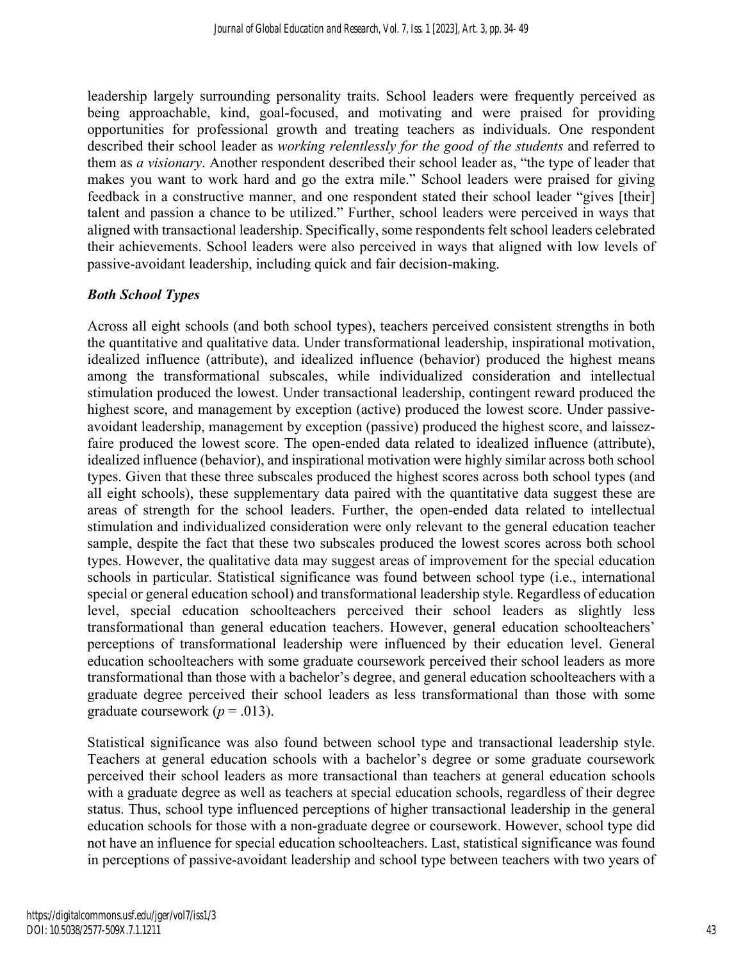leadership largely surrounding personality traits. School leaders were frequently perceived as being approachable, kind, goal-focused, and motivating and were praised for providing opportunities for professional growth and treating teachers as individuals. One respondent described their school leader as *working relentlessly for the good of the students* and referred to them as *a visionary*. Another respondent described their school leader as, "the type of leader that makes you want to work hard and go the extra mile." School leaders were praised for giving feedback in a constructive manner, and one respondent stated their school leader "gives [their] talent and passion a chance to be utilized." Further, school leaders were perceived in ways that aligned with transactional leadership. Specifically, some respondents felt school leaders celebrated their achievements. School leaders were also perceived in ways that aligned with low levels of passive-avoidant leadership, including quick and fair decision-making.

## *Both School Types*

Across all eight schools (and both school types), teachers perceived consistent strengths in both the quantitative and qualitative data. Under transformational leadership, inspirational motivation, idealized influence (attribute), and idealized influence (behavior) produced the highest means among the transformational subscales, while individualized consideration and intellectual stimulation produced the lowest. Under transactional leadership, contingent reward produced the highest score, and management by exception (active) produced the lowest score. Under passiveavoidant leadership, management by exception (passive) produced the highest score, and laissezfaire produced the lowest score. The open-ended data related to idealized influence (attribute), idealized influence (behavior), and inspirational motivation were highly similar across both school types. Given that these three subscales produced the highest scores across both school types (and all eight schools), these supplementary data paired with the quantitative data suggest these are areas of strength for the school leaders. Further, the open-ended data related to intellectual stimulation and individualized consideration were only relevant to the general education teacher sample, despite the fact that these two subscales produced the lowest scores across both school types. However, the qualitative data may suggest areas of improvement for the special education schools in particular. Statistical significance was found between school type (i.e., international special or general education school) and transformational leadership style. Regardless of education level, special education schoolteachers perceived their school leaders as slightly less transformational than general education teachers. However, general education schoolteachers' perceptions of transformational leadership were influenced by their education level. General education schoolteachers with some graduate coursework perceived their school leaders as more transformational than those with a bachelor's degree, and general education schoolteachers with a graduate degree perceived their school leaders as less transformational than those with some graduate coursework  $(p = .013)$ .

Statistical significance was also found between school type and transactional leadership style. Teachers at general education schools with a bachelor's degree or some graduate coursework perceived their school leaders as more transactional than teachers at general education schools with a graduate degree as well as teachers at special education schools, regardless of their degree status. Thus, school type influenced perceptions of higher transactional leadership in the general education schools for those with a non-graduate degree or coursework. However, school type did not have an influence for special education schoolteachers. Last, statistical significance was found in perceptions of passive-avoidant leadership and school type between teachers with two years of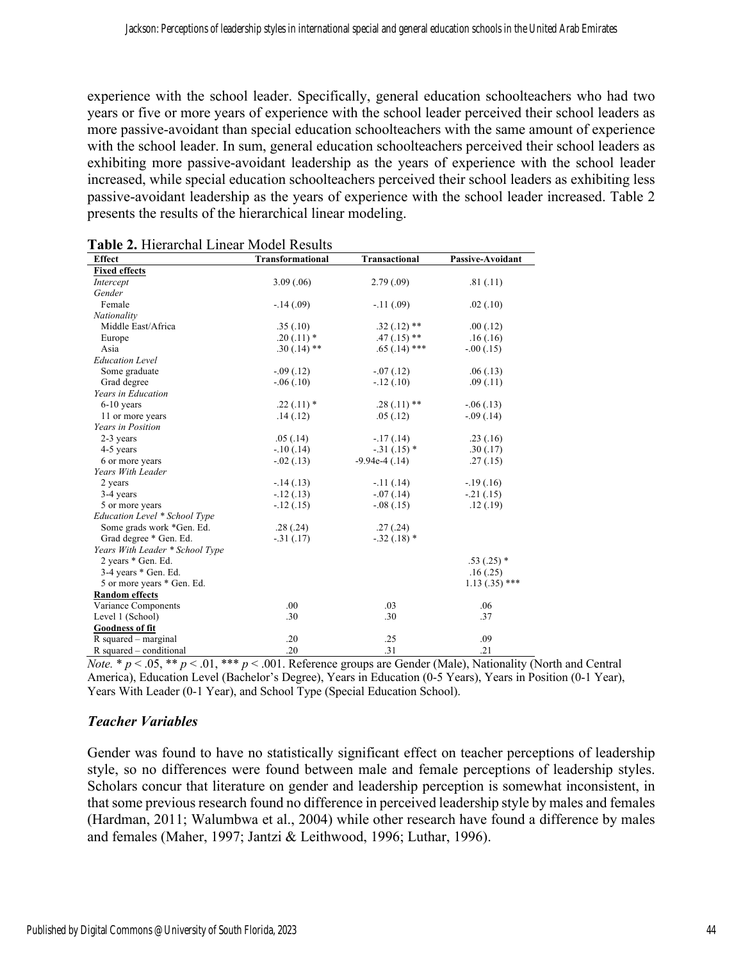experience with the school leader. Specifically, general education schoolteachers who had two years or five or more years of experience with the school leader perceived their school leaders as more passive-avoidant than special education schoolteachers with the same amount of experience with the school leader. In sum, general education schoolteachers perceived their school leaders as exhibiting more passive-avoidant leadership as the years of experience with the school leader increased, while special education schoolteachers perceived their school leaders as exhibiting less passive-avoidant leadership as the years of experience with the school leader increased. Table 2 presents the results of the hierarchical linear modeling.

| <b>I ADIC 2.</b> HICTAICHAI LIIICAI IVIOUCI INCSUITS<br><b>Effect</b> | <b>Transformational</b> | <b>Transactional</b> | <b>Passive-Avoidant</b> |  |
|-----------------------------------------------------------------------|-------------------------|----------------------|-------------------------|--|
| <b>Fixed effects</b>                                                  |                         |                      |                         |  |
| Intercept                                                             | 3.09(.06)               | 2.79(0.09)           | .81(.11)                |  |
| Gender                                                                |                         |                      |                         |  |
| Female                                                                | $-14(0.09)$             | $-.11(.09)$          | .02(0.10)               |  |
| Nationality                                                           |                         |                      |                         |  |
| Middle East/Africa                                                    | .35(.10)                | $.32(.12)$ **        | .00(0.12)               |  |
| Europe                                                                | $.20(.11)$ *            | $.47(.15)$ **        | .16(0.16)               |  |
| Asia                                                                  | $.30(.14)$ **           | $.65(.14)$ ***       | $-.00(.15)$             |  |
| <b>Education Level</b>                                                |                         |                      |                         |  |
| Some graduate                                                         | $-.09(.12)$             | $-.07(.12)$          | .06(0.13)               |  |
| Grad degree                                                           | $-.06(.10)$             | $-.12(.10)$          | .09(0.11)               |  |
| Years in Education                                                    |                         |                      |                         |  |
| $6-10$ years                                                          | $.22(.11)*$             | $.28(.11)$ **        | $-.06(.13)$             |  |
| 11 or more years                                                      | .14(.12)                | .05(0.12)            | $-.09(.14)$             |  |
| Years in Position                                                     |                         |                      |                         |  |
| 2-3 years                                                             | .05(.14)                | $-17(0.14)$          | .23(.16)                |  |
| 4-5 years                                                             | $-.10(.14)$             | $-.31(.15)$ *        | .30(.17)                |  |
| 6 or more years                                                       | $-.02(.13)$             | $-9.94e-4(0.14)$     | .27(.15)                |  |
| Years With Leader                                                     |                         |                      |                         |  |
| 2 years                                                               | $-14(0.13)$             | $-11(14)$            | $-19(0.16)$             |  |
| 3-4 years                                                             | $-.12(.13)$             | $-.07(.14)$          | $-.21(.15)$             |  |
| 5 or more years                                                       | $-.12(.15)$             | $-.08(.15)$          | .12(.19)                |  |
| Education Level * School Type                                         |                         |                      |                         |  |
| Some grads work *Gen. Ed.                                             | .28(.24)                | .27(.24)             |                         |  |
| Grad degree * Gen. Ed.                                                | $-.31(.17)$             | $-.32(.18)$ *        |                         |  |
| Years With Leader * School Type                                       |                         |                      |                         |  |
| 2 years * Gen. Ed.                                                    |                         |                      | $.53(.25)$ *            |  |
| $3-4$ years $*$ Gen. Ed.                                              |                         |                      | .16(.25)                |  |
| 5 or more years * Gen. Ed.                                            |                         |                      | $1.13(.35)$ ***         |  |
| <b>Random</b> effects                                                 |                         |                      |                         |  |
| Variance Components                                                   | .00                     | .03                  | .06                     |  |
| Level 1 (School)                                                      | .30                     | .30                  | .37                     |  |
| <b>Goodness of fit</b>                                                |                         |                      |                         |  |
| $R$ squared – marginal                                                | .20                     | .25                  | .09                     |  |
| R squared – conditional                                               | .20                     | .31                  | .21                     |  |

*Note.* \*  $p < .05$ , \*\*  $p < .01$ , \*\*\*  $p < .001$ . Reference groups are Gender (Male), Nationality (North and Central America), Education Level (Bachelor's Degree), Years in Education (0-5 Years), Years in Position (0-1 Year), Years With Leader (0-1 Year), and School Type (Special Education School).

# *Teacher Variables*

Gender was found to have no statistically significant effect on teacher perceptions of leadership style, so no differences were found between male and female perceptions of leadership styles. Scholars concur that literature on gender and leadership perception is somewhat inconsistent, in that some previous research found no difference in perceived leadership style by males and females (Hardman, 2011; Walumbwa et al., 2004) while other research have found a difference by males and females (Maher, 1997; Jantzi & Leithwood, 1996; Luthar, 1996).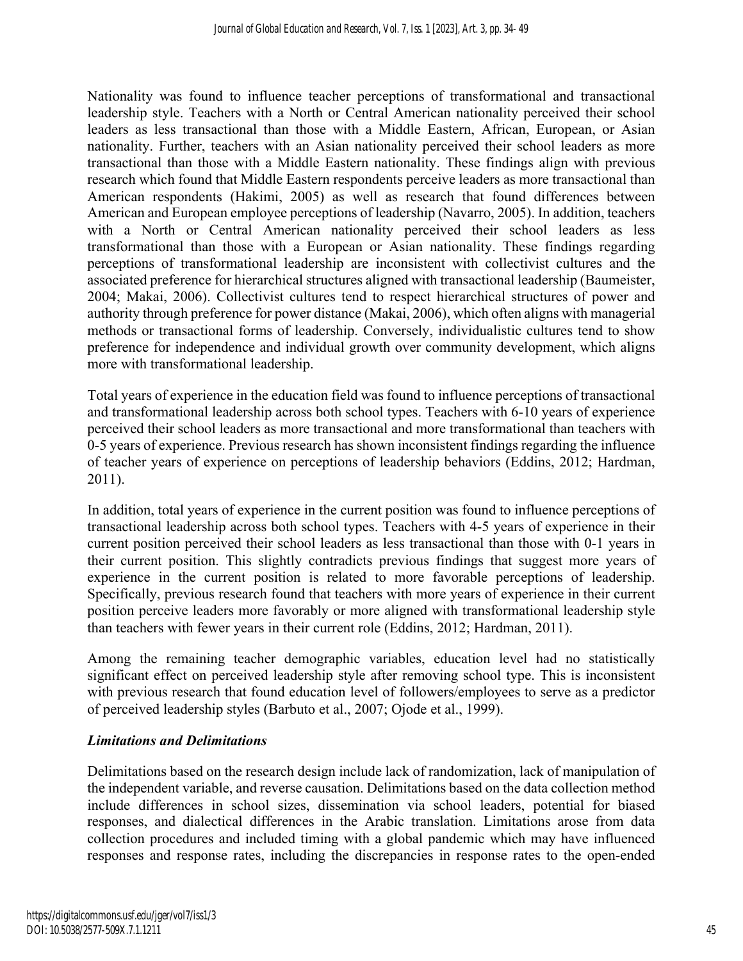Nationality was found to influence teacher perceptions of transformational and transactional leadership style. Teachers with a North or Central American nationality perceived their school leaders as less transactional than those with a Middle Eastern, African, European, or Asian nationality. Further, teachers with an Asian nationality perceived their school leaders as more transactional than those with a Middle Eastern nationality. These findings align with previous research which found that Middle Eastern respondents perceive leaders as more transactional than American respondents (Hakimi, 2005) as well as research that found differences between American and European employee perceptions of leadership (Navarro, 2005). In addition, teachers with a North or Central American nationality perceived their school leaders as less transformational than those with a European or Asian nationality. These findings regarding perceptions of transformational leadership are inconsistent with collectivist cultures and the associated preference for hierarchical structures aligned with transactional leadership (Baumeister, 2004; Makai, 2006). Collectivist cultures tend to respect hierarchical structures of power and authority through preference for power distance (Makai, 2006), which often aligns with managerial methods or transactional forms of leadership. Conversely, individualistic cultures tend to show preference for independence and individual growth over community development, which aligns more with transformational leadership.

Total years of experience in the education field was found to influence perceptions of transactional and transformational leadership across both school types. Teachers with 6-10 years of experience perceived their school leaders as more transactional and more transformational than teachers with 0-5 years of experience. Previous research has shown inconsistent findings regarding the influence of teacher years of experience on perceptions of leadership behaviors (Eddins, 2012; Hardman, 2011).

In addition, total years of experience in the current position was found to influence perceptions of transactional leadership across both school types. Teachers with 4-5 years of experience in their current position perceived their school leaders as less transactional than those with 0-1 years in their current position. This slightly contradicts previous findings that suggest more years of experience in the current position is related to more favorable perceptions of leadership. Specifically, previous research found that teachers with more years of experience in their current position perceive leaders more favorably or more aligned with transformational leadership style than teachers with fewer years in their current role (Eddins, 2012; Hardman, 2011).

Among the remaining teacher demographic variables, education level had no statistically significant effect on perceived leadership style after removing school type. This is inconsistent with previous research that found education level of followers/employees to serve as a predictor of perceived leadership styles (Barbuto et al., 2007; Ojode et al., 1999).

## *Limitations and Delimitations*

Delimitations based on the research design include lack of randomization, lack of manipulation of the independent variable, and reverse causation. Delimitations based on the data collection method include differences in school sizes, dissemination via school leaders, potential for biased responses, and dialectical differences in the Arabic translation. Limitations arose from data collection procedures and included timing with a global pandemic which may have influenced responses and response rates, including the discrepancies in response rates to the open-ended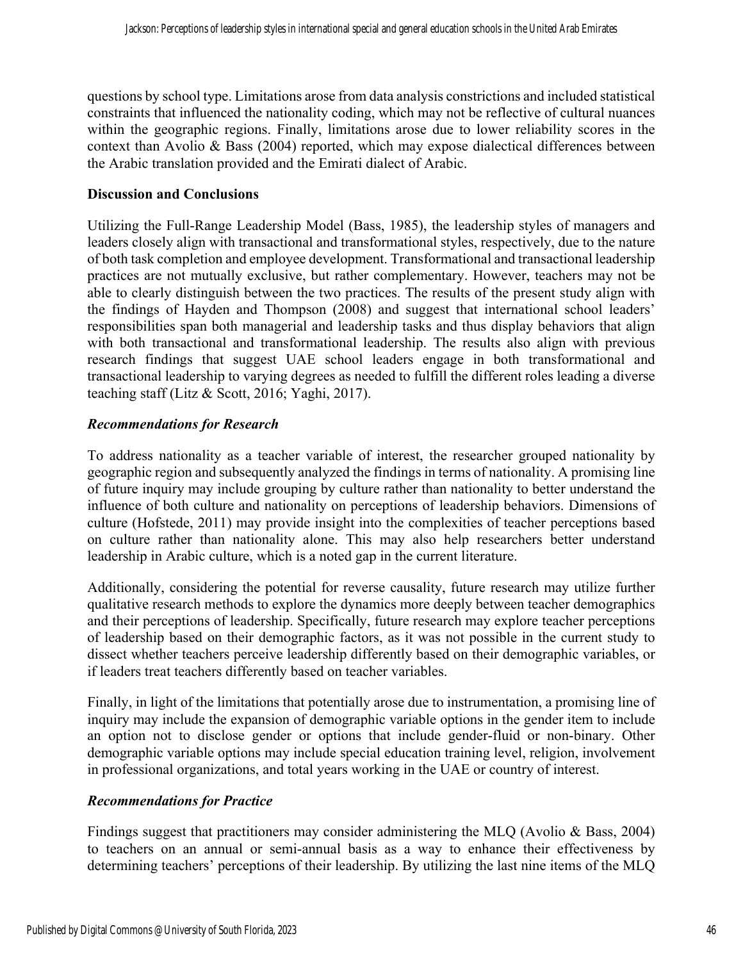questions by school type. Limitations arose from data analysis constrictions and included statistical constraints that influenced the nationality coding, which may not be reflective of cultural nuances within the geographic regions. Finally, limitations arose due to lower reliability scores in the context than Avolio & Bass (2004) reported, which may expose dialectical differences between the Arabic translation provided and the Emirati dialect of Arabic.

#### **Discussion and Conclusions**

Utilizing the Full-Range Leadership Model (Bass, 1985), the leadership styles of managers and leaders closely align with transactional and transformational styles, respectively, due to the nature of both task completion and employee development. Transformational and transactional leadership practices are not mutually exclusive, but rather complementary. However, teachers may not be able to clearly distinguish between the two practices. The results of the present study align with the findings of Hayden and Thompson (2008) and suggest that international school leaders' responsibilities span both managerial and leadership tasks and thus display behaviors that align with both transactional and transformational leadership. The results also align with previous research findings that suggest UAE school leaders engage in both transformational and transactional leadership to varying degrees as needed to fulfill the different roles leading a diverse teaching staff (Litz & Scott, 2016; Yaghi, 2017).

## *Recommendations for Research*

To address nationality as a teacher variable of interest, the researcher grouped nationality by geographic region and subsequently analyzed the findings in terms of nationality. A promising line of future inquiry may include grouping by culture rather than nationality to better understand the influence of both culture and nationality on perceptions of leadership behaviors. Dimensions of culture (Hofstede, 2011) may provide insight into the complexities of teacher perceptions based on culture rather than nationality alone. This may also help researchers better understand leadership in Arabic culture, which is a noted gap in the current literature.

Additionally, considering the potential for reverse causality, future research may utilize further qualitative research methods to explore the dynamics more deeply between teacher demographics and their perceptions of leadership. Specifically, future research may explore teacher perceptions of leadership based on their demographic factors, as it was not possible in the current study to dissect whether teachers perceive leadership differently based on their demographic variables, or if leaders treat teachers differently based on teacher variables.

Finally, in light of the limitations that potentially arose due to instrumentation, a promising line of inquiry may include the expansion of demographic variable options in the gender item to include an option not to disclose gender or options that include gender-fluid or non-binary. Other demographic variable options may include special education training level, religion, involvement in professional organizations, and total years working in the UAE or country of interest.

## *Recommendations for Practice*

Findings suggest that practitioners may consider administering the MLQ (Avolio & Bass, 2004) to teachers on an annual or semi-annual basis as a way to enhance their effectiveness by determining teachers' perceptions of their leadership. By utilizing the last nine items of the MLQ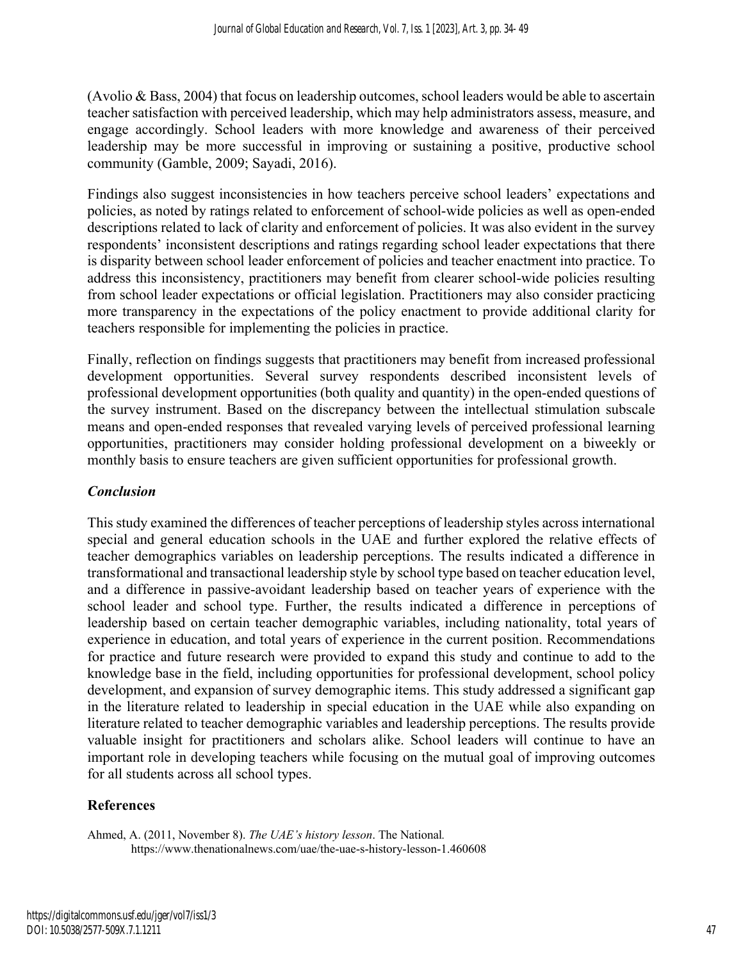(Avolio & Bass, 2004) that focus on leadership outcomes, school leaders would be able to ascertain teacher satisfaction with perceived leadership, which may help administrators assess, measure, and engage accordingly. School leaders with more knowledge and awareness of their perceived leadership may be more successful in improving or sustaining a positive, productive school community (Gamble, 2009; Sayadi, 2016).

Findings also suggest inconsistencies in how teachers perceive school leaders' expectations and policies, as noted by ratings related to enforcement of school-wide policies as well as open-ended descriptions related to lack of clarity and enforcement of policies. It was also evident in the survey respondents' inconsistent descriptions and ratings regarding school leader expectations that there is disparity between school leader enforcement of policies and teacher enactment into practice. To address this inconsistency, practitioners may benefit from clearer school-wide policies resulting from school leader expectations or official legislation. Practitioners may also consider practicing more transparency in the expectations of the policy enactment to provide additional clarity for teachers responsible for implementing the policies in practice.

Finally, reflection on findings suggests that practitioners may benefit from increased professional development opportunities. Several survey respondents described inconsistent levels of professional development opportunities (both quality and quantity) in the open-ended questions of the survey instrument. Based on the discrepancy between the intellectual stimulation subscale means and open-ended responses that revealed varying levels of perceived professional learning opportunities, practitioners may consider holding professional development on a biweekly or monthly basis to ensure teachers are given sufficient opportunities for professional growth.

# *Conclusion*

This study examined the differences of teacher perceptions of leadership styles across international special and general education schools in the UAE and further explored the relative effects of teacher demographics variables on leadership perceptions. The results indicated a difference in transformational and transactional leadership style by school type based on teacher education level, and a difference in passive-avoidant leadership based on teacher years of experience with the school leader and school type. Further, the results indicated a difference in perceptions of leadership based on certain teacher demographic variables, including nationality, total years of experience in education, and total years of experience in the current position. Recommendations for practice and future research were provided to expand this study and continue to add to the knowledge base in the field, including opportunities for professional development, school policy development, and expansion of survey demographic items. This study addressed a significant gap in the literature related to leadership in special education in the UAE while also expanding on literature related to teacher demographic variables and leadership perceptions. The results provide valuable insight for practitioners and scholars alike. School leaders will continue to have an important role in developing teachers while focusing on the mutual goal of improving outcomes for all students across all school types.

## **References**

Ahmed, A. (2011, November 8). *The UAE's history lesson*. The National*.*  https://www.thenationalnews.com/uae/the-uae-s-history-lesson-1.460608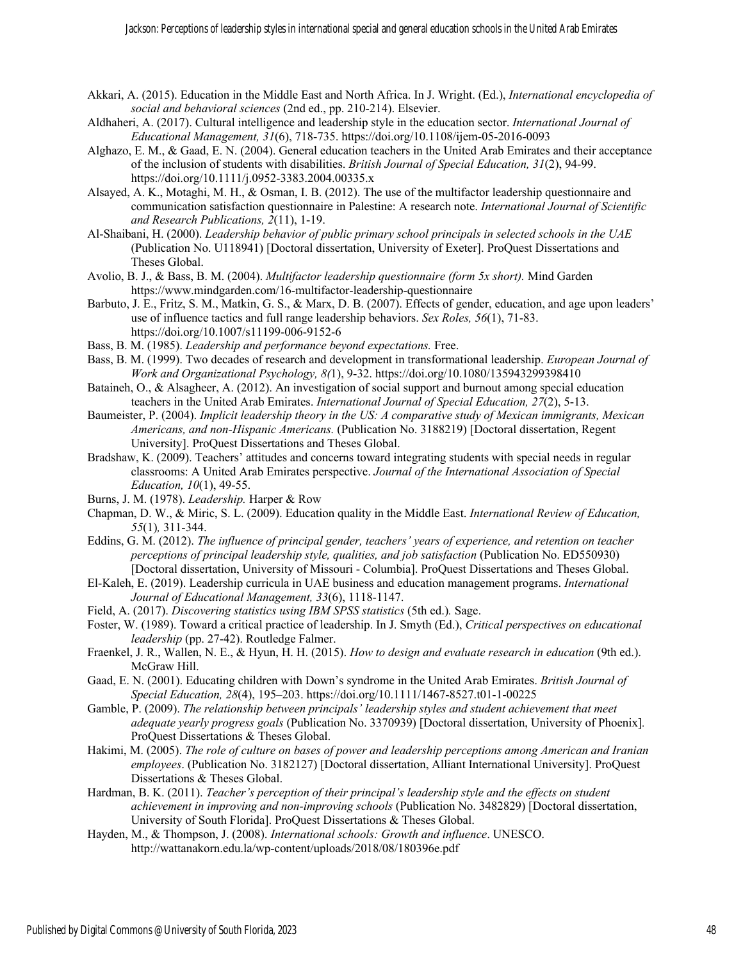- Akkari, A. (2015). Education in the Middle East and North Africa. In J. Wright. (Ed.), *International encyclopedia of social and behavioral sciences* (2nd ed., pp. 210-214). Elsevier.
- Aldhaheri, A. (2017). Cultural intelligence and leadership style in the education sector. *International Journal of Educational Management, 31*(6), 718-735. https://doi.org/10.1108/ijem-05-2016-0093
- Alghazo, E. M., & Gaad, E. N. (2004). General education teachers in the United Arab Emirates and their acceptance of the inclusion of students with disabilities. *British Journal of Special Education, 31*(2), 94-99. https://doi.org/10.1111/j.0952-3383.2004.00335.x
- Alsayed, A. K., Motaghi, M. H., & Osman, I. B. (2012). The use of the multifactor leadership questionnaire and communication satisfaction questionnaire in Palestine: A research note. *International Journal of Scientific and Research Publications, 2*(11), 1-19.
- Al-Shaibani, H. (2000). *Leadership behavior of public primary school principals in selected schools in the UAE*  (Publication No. U118941) [Doctoral dissertation, University of Exeter]. ProQuest Dissertations and Theses Global.
- Avolio, B. J., & Bass, B. M. (2004). *Multifactor leadership questionnaire (form 5x short).* Mind Garden https://www.mindgarden.com/16-multifactor-leadership-questionnaire
- Barbuto, J. E., Fritz, S. M., Matkin, G. S., & Marx, D. B. (2007). Effects of gender, education, and age upon leaders' use of influence tactics and full range leadership behaviors. *Sex Roles, 56*(1), 71-83. https://doi.org/10.1007/s11199-006-9152-6
- Bass, B. M. (1985). *Leadership and performance beyond expectations.* Free.
- Bass, B. M. (1999). Two decades of research and development in transformational leadership. *European Journal of Work and Organizational Psychology, 8(*1), 9-32. https://doi.org/10.1080/135943299398410
- Bataineh, O., & Alsagheer, A. (2012). An investigation of social support and burnout among special education teachers in the United Arab Emirates. *International Journal of Special Education, 27*(2), 5-13.
- Baumeister, P. (2004). *Implicit leadership theory in the US: A comparative study of Mexican immigrants, Mexican Americans, and non-Hispanic Americans.* (Publication No. 3188219) [Doctoral dissertation, Regent University]. ProQuest Dissertations and Theses Global.
- Bradshaw, K. (2009). Teachers' attitudes and concerns toward integrating students with special needs in regular classrooms: A United Arab Emirates perspective. *Journal of the International Association of Special Education, 10*(1), 49-55.
- Burns, J. M. (1978). *Leadership.* Harper & Row
- Chapman, D. W., & Miric, S. L. (2009). Education quality in the Middle East. *International Review of Education, 55*(1)*,* 311-344.
- Eddins, G. M. (2012). *The influence of principal gender, teachers' years of experience, and retention on teacher perceptions of principal leadership style, qualities, and job satisfaction* (Publication No. ED550930) [Doctoral dissertation, University of Missouri - Columbia]. ProQuest Dissertations and Theses Global.
- El-Kaleh, E. (2019). Leadership curricula in UAE business and education management programs. *International Journal of Educational Management, 33*(6), 1118-1147.
- Field, A. (2017). *Discovering statistics using IBM SPSS statistics* (5th ed.)*.* Sage.
- Foster, W. (1989). Toward a critical practice of leadership. In J. Smyth (Ed.), *Critical perspectives on educational leadership* (pp. 27-42). Routledge Falmer.
- Fraenkel, J. R., Wallen, N. E., & Hyun, H. H. (2015). *How to design and evaluate research in education* (9th ed.). McGraw Hill.
- Gaad, E. N. (2001). Educating children with Down's syndrome in the United Arab Emirates. *British Journal of Special Education, 28*(4), 195–203. https://doi.org/10.1111/1467-8527.t01-1-00225
- Gamble, P. (2009). *The relationship between principals' leadership styles and student achievement that meet adequate yearly progress goals* (Publication No. 3370939) [Doctoral dissertation, University of Phoenix]*.*  ProQuest Dissertations & Theses Global.
- Hakimi, M. (2005). *The role of culture on bases of power and leadership perceptions among American and Iranian employees*. (Publication No. 3182127) [Doctoral dissertation, Alliant International University]. ProQuest Dissertations & Theses Global.
- Hardman, B. K. (2011). *Teacher's perception of their principal's leadership style and the effects on student achievement in improving and non-improving schools* (Publication No. 3482829) [Doctoral dissertation, University of South Florida]. ProQuest Dissertations & Theses Global.
- Hayden, M., & Thompson, J. (2008). *International schools: Growth and influence*. UNESCO. http://wattanakorn.edu.la/wp-content/uploads/2018/08/180396e.pdf